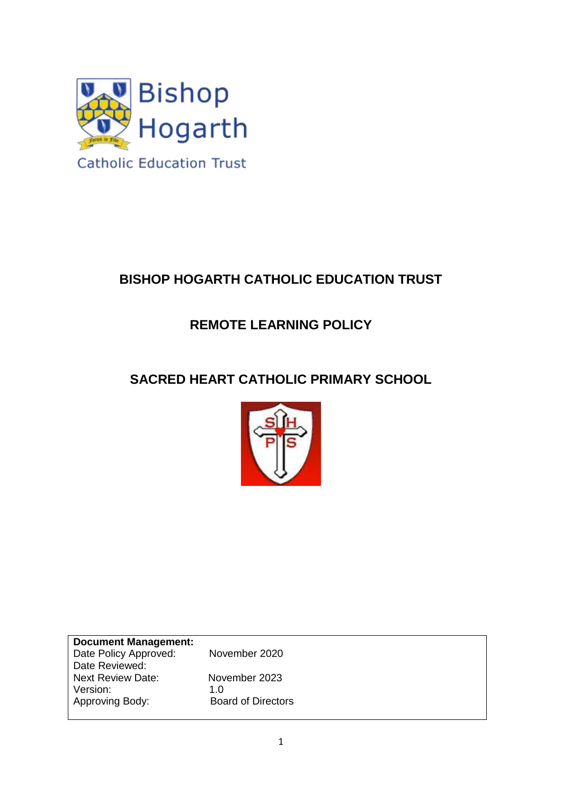

# **BISHOP HOGARTH CATHOLIC EDUCATION TRUST**

## **REMOTE LEARNING POLICY**

## **SACRED HEART CATHOLIC PRIMARY SCHOOL**



| <b>Document Management:</b> |                           |
|-----------------------------|---------------------------|
| Date Policy Approved:       | November 2020             |
| Date Reviewed:              |                           |
| <b>Next Review Date:</b>    | November 2023             |
| Version:                    | 1.0                       |
| Approving Body:             | <b>Board of Directors</b> |
|                             |                           |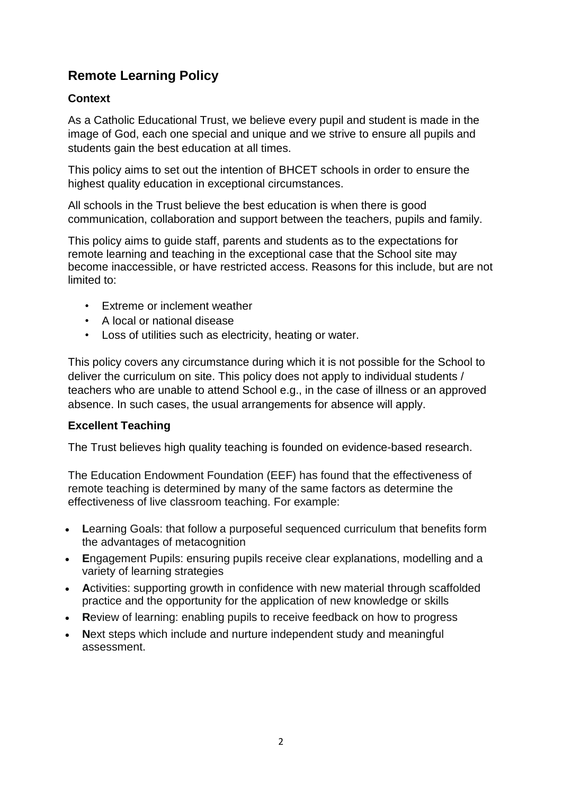## **Remote Learning Policy**

### **Context**

As a Catholic Educational Trust, we believe every pupil and student is made in the image of God, each one special and unique and we strive to ensure all pupils and students gain the best education at all times.

This policy aims to set out the intention of BHCET schools in order to ensure the highest quality education in exceptional circumstances.

All schools in the Trust believe the best education is when there is good communication, collaboration and support between the teachers, pupils and family.

This policy aims to guide staff, parents and students as to the expectations for remote learning and teaching in the exceptional case that the School site may become inaccessible, or have restricted access. Reasons for this include, but are not limited to:

- Extreme or inclement weather
- A local or national disease
- Loss of utilities such as electricity, heating or water.

This policy covers any circumstance during which it is not possible for the School to deliver the curriculum on site. This policy does not apply to individual students / teachers who are unable to attend School e.g., in the case of illness or an approved absence. In such cases, the usual arrangements for absence will apply.

#### **Excellent Teaching**

The Trust believes high quality teaching is founded on evidence-based research.

The Education Endowment Foundation (EEF) has found that the effectiveness of remote teaching is determined by many of the same factors as determine the effectiveness of live classroom teaching. For example:

- **L**earning Goals: that follow a purposeful sequenced curriculum that benefits form the advantages of metacognition
- **E**ngagement Pupils: ensuring pupils receive clear explanations, modelling and a variety of learning strategies
- **A**ctivities: supporting growth in confidence with new material through scaffolded practice and the opportunity for the application of new knowledge or skills
- **R**eview of learning: enabling pupils to receive feedback on how to progress
- **N**ext steps which include and nurture independent study and meaningful assessment.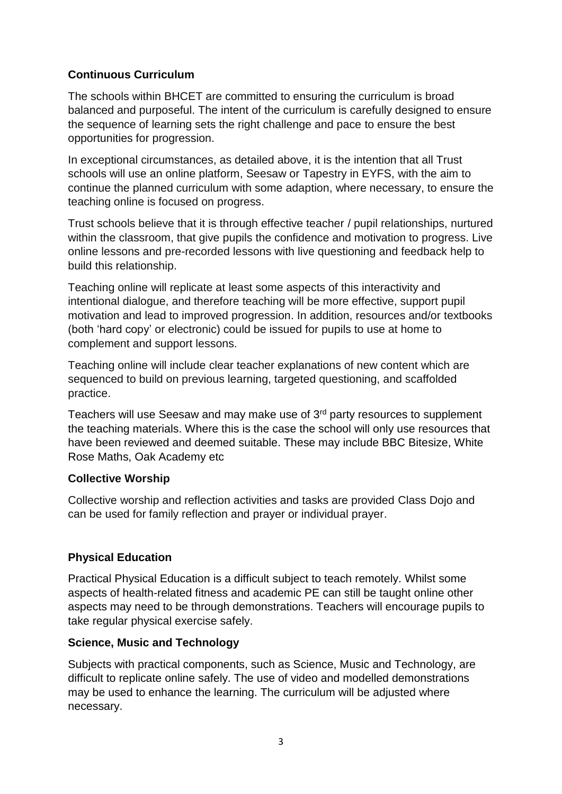### **Continuous Curriculum**

The schools within BHCET are committed to ensuring the curriculum is broad balanced and purposeful. The intent of the curriculum is carefully designed to ensure the sequence of learning sets the right challenge and pace to ensure the best opportunities for progression.

In exceptional circumstances, as detailed above, it is the intention that all Trust schools will use an online platform, Seesaw or Tapestry in EYFS, with the aim to continue the planned curriculum with some adaption, where necessary, to ensure the teaching online is focused on progress.

Trust schools believe that it is through effective teacher / pupil relationships, nurtured within the classroom, that give pupils the confidence and motivation to progress. Live online lessons and pre-recorded lessons with live questioning and feedback help to build this relationship.

Teaching online will replicate at least some aspects of this interactivity and intentional dialogue, and therefore teaching will be more effective, support pupil motivation and lead to improved progression. In addition, resources and/or textbooks (both 'hard copy' or electronic) could be issued for pupils to use at home to complement and support lessons.

Teaching online will include clear teacher explanations of new content which are sequenced to build on previous learning, targeted questioning, and scaffolded practice.

Teachers will use Seesaw and may make use of 3rd party resources to supplement the teaching materials. Where this is the case the school will only use resources that have been reviewed and deemed suitable. These may include BBC Bitesize, White Rose Maths, Oak Academy etc

#### **Collective Worship**

Collective worship and reflection activities and tasks are provided Class Dojo and can be used for family reflection and prayer or individual prayer.

#### **Physical Education**

Practical Physical Education is a difficult subject to teach remotely. Whilst some aspects of health-related fitness and academic PE can still be taught online other aspects may need to be through demonstrations. Teachers will encourage pupils to take regular physical exercise safely.

#### **Science, Music and Technology**

Subjects with practical components, such as Science, Music and Technology, are difficult to replicate online safely. The use of video and modelled demonstrations may be used to enhance the learning. The curriculum will be adjusted where necessary.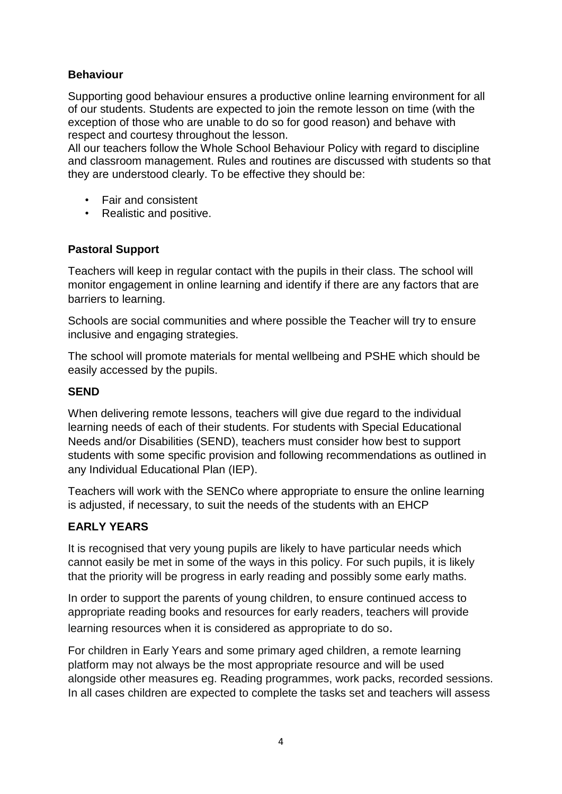### **Behaviour**

Supporting good behaviour ensures a productive online learning environment for all of our students. Students are expected to join the remote lesson on time (with the exception of those who are unable to do so for good reason) and behave with respect and courtesy throughout the lesson.

All our teachers follow the Whole School Behaviour Policy with regard to discipline and classroom management. Rules and routines are discussed with students so that they are understood clearly. To be effective they should be:

- Fair and consistent
- Realistic and positive.

#### **Pastoral Support**

Teachers will keep in regular contact with the pupils in their class. The school will monitor engagement in online learning and identify if there are any factors that are barriers to learning.

Schools are social communities and where possible the Teacher will try to ensure inclusive and engaging strategies.

The school will promote materials for mental wellbeing and PSHE which should be easily accessed by the pupils.

#### **SEND**

When delivering remote lessons, teachers will give due regard to the individual learning needs of each of their students. For students with Special Educational Needs and/or Disabilities (SEND), teachers must consider how best to support students with some specific provision and following recommendations as outlined in any Individual Educational Plan (IEP).

Teachers will work with the SENCo where appropriate to ensure the online learning is adjusted, if necessary, to suit the needs of the students with an EHCP

#### **EARLY YEARS**

It is recognised that very young pupils are likely to have particular needs which cannot easily be met in some of the ways in this policy. For such pupils, it is likely that the priority will be progress in early reading and possibly some early maths.

In order to support the parents of young children, to ensure continued access to appropriate reading books and resources for early readers, teachers will provide learning resources when it is considered as appropriate to do so.

For children in Early Years and some primary aged children, a remote learning platform may not always be the most appropriate resource and will be used alongside other measures eg. Reading programmes, work packs, recorded sessions. In all cases children are expected to complete the tasks set and teachers will assess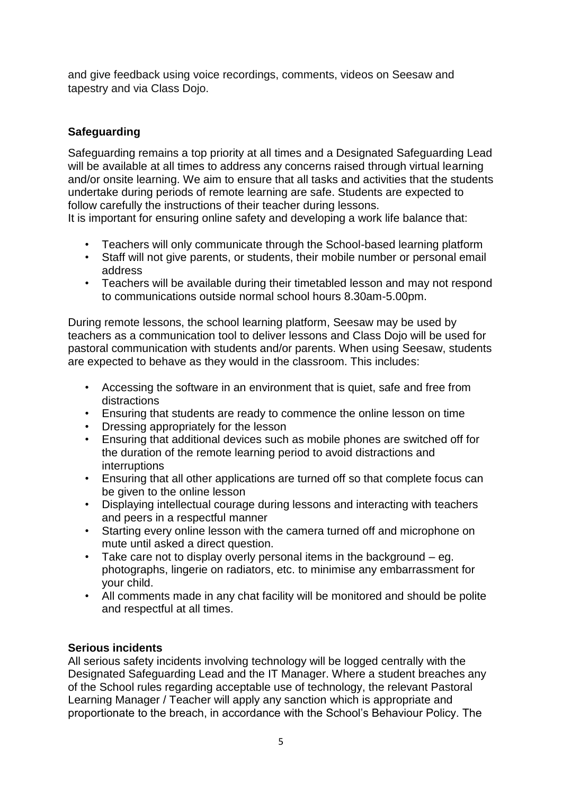and give feedback using voice recordings, comments, videos on Seesaw and tapestry and via Class Dojo.

## **Safeguarding**

Safeguarding remains a top priority at all times and a Designated Safeguarding Lead will be available at all times to address any concerns raised through virtual learning and/or onsite learning. We aim to ensure that all tasks and activities that the students undertake during periods of remote learning are safe. Students are expected to follow carefully the instructions of their teacher during lessons.

It is important for ensuring online safety and developing a work life balance that:

- Teachers will only communicate through the School-based learning platform
- Staff will not give parents, or students, their mobile number or personal email address
- Teachers will be available during their timetabled lesson and may not respond to communications outside normal school hours 8.30am-5.00pm.

During remote lessons, the school learning platform, Seesaw may be used by teachers as a communication tool to deliver lessons and Class Dojo will be used for pastoral communication with students and/or parents. When using Seesaw, students are expected to behave as they would in the classroom. This includes:

- Accessing the software in an environment that is quiet, safe and free from distractions
- Ensuring that students are ready to commence the online lesson on time
- Dressing appropriately for the lesson<br>• Ensuring that additional devices such
- Ensuring that additional devices such as mobile phones are switched off for the duration of the remote learning period to avoid distractions and interruptions
- Ensuring that all other applications are turned off so that complete focus can be given to the online lesson
- Displaying intellectual courage during lessons and interacting with teachers and peers in a respectful manner
- Starting every online lesson with the camera turned off and microphone on mute until asked a direct question.
- Take care not to display overly personal items in the background eg. photographs, lingerie on radiators, etc. to minimise any embarrassment for your child.
- All comments made in any chat facility will be monitored and should be polite and respectful at all times.

## **Serious incidents**

All serious safety incidents involving technology will be logged centrally with the Designated Safeguarding Lead and the IT Manager. Where a student breaches any of the School rules regarding acceptable use of technology, the relevant Pastoral Learning Manager / Teacher will apply any sanction which is appropriate and proportionate to the breach, in accordance with the School's Behaviour Policy. The